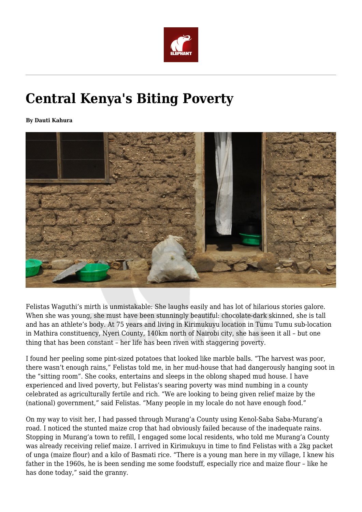

## **Central Kenya's Biting Poverty**

**By Dauti Kahura**



Felistas Waguthi's mirth is unmistakable: She laughs easily and has lot of hilarious stories galore. When she was young, she must have been stunningly beautiful: chocolate-dark skinned, she is tall and has an athlete's body. At 75 years and living in Kirimukuyu location in Tumu Tumu sub-location in Mathira constituency, Nyeri County, 140km north of Nairobi city, she has seen it all – but one thing that has been constant – her life has been riven with staggering poverty.

I found her peeling some pint-sized potatoes that looked like marble balls. "The harvest was poor, there wasn't enough rains," Felistas told me, in her mud-house that had dangerously hanging soot in the "sitting room". She cooks, entertains and sleeps in the oblong shaped mud house. I have experienced and lived poverty, but Felistas's searing poverty was mind numbing in a county celebrated as agriculturally fertile and rich. "We are looking to being given relief maize by the (national) government," said Felistas. "Many people in my locale do not have enough food."

On my way to visit her, I had passed through Murang'a County using Kenol-Saba Saba-Murang'a road. I noticed the stunted maize crop that had obviously failed because of the inadequate rains. Stopping in Murang'a town to refill, I engaged some local residents, who told me Murang'a County was already receiving relief maize. I arrived in Kirimukuyu in time to find Felistas with a 2kg packet of unga (maize flour) and a kilo of Basmati rice. "There is a young man here in my village, I knew his father in the 1960s, he is been sending me some foodstuff, especially rice and maize flour – like he has done today," said the granny.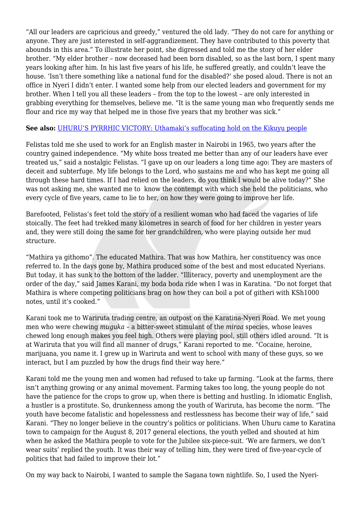"All our leaders are capricious and greedy," ventured the old lady. "They do not care for anything or anyone. They are just interested in self-aggrandizement. They have contributed to this poverty that abounds in this area." To illustrate her point, she digressed and told me the story of her elder brother. "My elder brother – now deceased had been born disabled, so as the last born, I spent many years looking after him. In his last five years of his life, he suffered greatly, and couldn't leave the house. 'Isn't there something like a national fund for the disabled?' she posed aloud. There is not an office in Nyeri I didn't enter. I wanted some help from our elected leaders and government for my brother. When I tell you all these leaders – from the top to the lowest – are only interested in grabbing everything for themselves, believe me. "It is the same young man who frequently sends me flour and rice my way that helped me in those five years that my brother was sick."

## **See also:** [UHURU'S PYRRHIC VICTORY: Uthamaki's suffocating hold on the Kikuyu people](https://www.theelephant.info/features/2018/02/02/uhurus-pyrrhic-victory-uthamakis-suffocating-hold-on-the-kikuyu-people/)

Felistas told me she used to work for an English master in Nairobi in 1965, two years after the country gained independence. "My white boss treated me better than any of our leaders have ever treated us," said a nostalgic Felistas. "I gave up on our leaders a long time ago: They are masters of deceit and subterfuge. My life belongs to the Lord, who sustains me and who has kept me going all through these hard times. If I had relied on the leaders, do you think I would be alive today?" She was not asking me, she wanted me to know the contempt with which she held the politicians, who every cycle of five years, came to lie to her, on how they were going to improve her life.

Barefooted, Felistas's feet told the story of a resilient woman who had faced the vagaries of life stoically. The feet had trekked many kilometres in search of food for her children in yester years and, they were still doing the same for her grandchildren, who were playing outside her mud structure.

"Mathira ya githomo". The educated Mathira. That was how Mathira, her constituency was once referred to. In the days gone by, Mathira produced some of the best and most educated Nyerians. But today, it has sunk to the bottom of the ladder. "Illiteracy, poverty and unemployment are the order of the day," said James Karani, my boda boda ride when I was in Karatina. "Do not forget that Mathira is where competing politicians brag on how they can boil a pot of githeri with KSh1000 notes, until it's cooked."

Karani took me to Wariruta trading centre, an outpost on the Karatina-Nyeri Road. We met young men who were chewing *muguka* – a bitter-sweet stimulant of the *miraa* species, whose leaves chewed long enough makes you feel high. Others were playing pool, still others idled around. "It is at Wariruta that you will find all manner of drugs," Karani reported to me. "Cocaine, heroine, marijuana, you name it. I grew up in Wariruta and went to school with many of these guys, so we interact, but I am puzzled by how the drugs find their way here."

Karani told me the young men and women had refused to take up farming. "Look at the farms, there isn't anything growing or any animal movement. Farming takes too long, the young people do not have the patience for the crops to grow up, when there is betting and hustling. In idiomatic English, a hustler is a prostitute. So, drunkenness among the youth of Wariruta, has become the norm. "The youth have become fatalistic and hopelessness and restlessness has become their way of life," said Karani. "They no longer believe in the country's politics or politicians. When Uhuru came to Karatina town to campaign for the August 8, 2017 general elections, the youth yelled and shouted at him when he asked the Mathira people to vote for the Jubilee six-piece-suit. 'We are farmers, we don't wear suits' replied the youth. It was their way of telling him, they were tired of five-year-cycle of politics that had failed to improve their lot."

On my way back to Nairobi, I wanted to sample the Sagana town nightlife. So, I used the Nyeri-